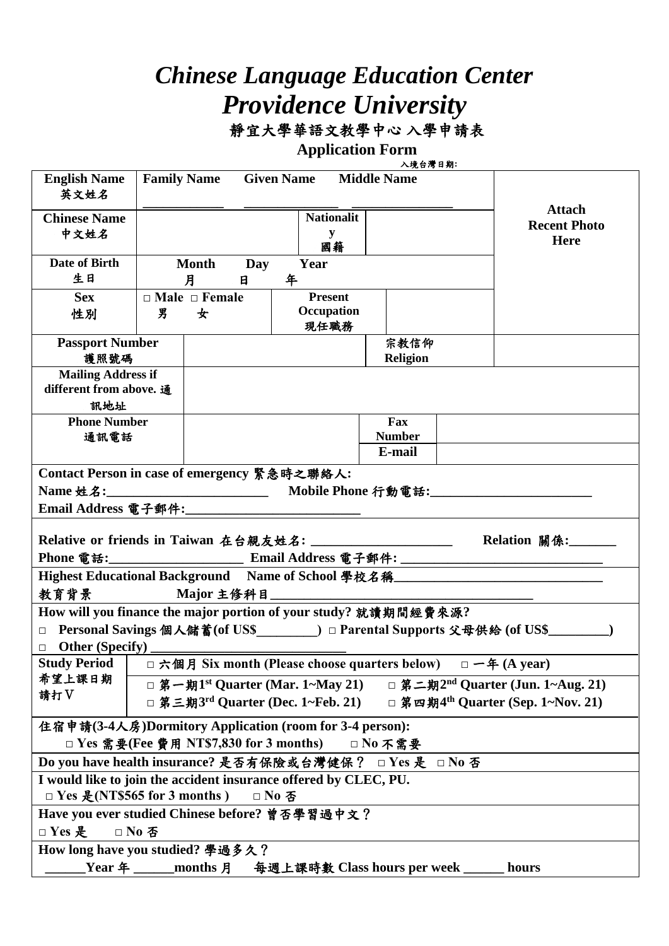## *Chinese Language Education Center Providence University* 靜宜大學華語文教學中心 入學申請表

**Application Form** 

| <b>English Name</b><br>英文姓名                                                                                                                           | <b>Family Name</b><br><b>Given Name</b><br><b>Middle Name</b> |                                                                                                |                                      |                     |                 |  |             |  |  |  |
|-------------------------------------------------------------------------------------------------------------------------------------------------------|---------------------------------------------------------------|------------------------------------------------------------------------------------------------|--------------------------------------|---------------------|-----------------|--|-------------|--|--|--|
| <b>Chinese Name</b>                                                                                                                                   |                                                               |                                                                                                | <b>Attach</b><br><b>Recent Photo</b> |                     |                 |  |             |  |  |  |
| 中文姓名                                                                                                                                                  |                                                               |                                                                                                |                                      | y                   |                 |  | <b>Here</b> |  |  |  |
|                                                                                                                                                       |                                                               |                                                                                                |                                      | 國籍                  |                 |  |             |  |  |  |
| Date of Birth                                                                                                                                         |                                                               | <b>Month</b>                                                                                   | Day                                  | Year                |                 |  |             |  |  |  |
| 生日                                                                                                                                                    |                                                               | 月                                                                                              | 日                                    | 年<br><b>Present</b> |                 |  |             |  |  |  |
| <b>Sex</b>                                                                                                                                            |                                                               | $\Box$ Male $\Box$ Female                                                                      |                                      |                     |                 |  |             |  |  |  |
| 性別                                                                                                                                                    | 男                                                             | 女                                                                                              |                                      | Occupation<br>現任職務  |                 |  |             |  |  |  |
|                                                                                                                                                       |                                                               |                                                                                                |                                      |                     | 宗教信仰            |  |             |  |  |  |
| <b>Passport Number</b><br>護照號碼                                                                                                                        |                                                               |                                                                                                |                                      |                     | <b>Religion</b> |  |             |  |  |  |
| <b>Mailing Address if</b>                                                                                                                             |                                                               |                                                                                                |                                      |                     |                 |  |             |  |  |  |
| different from above. 通                                                                                                                               |                                                               |                                                                                                |                                      |                     |                 |  |             |  |  |  |
| 訊地址                                                                                                                                                   |                                                               |                                                                                                |                                      |                     |                 |  |             |  |  |  |
| <b>Phone Number</b>                                                                                                                                   |                                                               |                                                                                                |                                      |                     | Fax             |  |             |  |  |  |
| 通訊電話                                                                                                                                                  |                                                               |                                                                                                |                                      |                     | <b>Number</b>   |  |             |  |  |  |
|                                                                                                                                                       |                                                               |                                                                                                |                                      |                     | E-mail          |  |             |  |  |  |
| Contact Person in case of emergency 緊急時之聯絡人:                                                                                                          |                                                               |                                                                                                |                                      |                     |                 |  |             |  |  |  |
|                                                                                                                                                       |                                                               |                                                                                                |                                      |                     |                 |  |             |  |  |  |
| Email Address 電子郵件:_______________________________                                                                                                    |                                                               |                                                                                                |                                      |                     |                 |  |             |  |  |  |
|                                                                                                                                                       |                                                               |                                                                                                |                                      |                     |                 |  |             |  |  |  |
| Relative or friends in Taiwan 在台親友姓名: ________________________<br>Relation 關係:                                                                        |                                                               |                                                                                                |                                      |                     |                 |  |             |  |  |  |
| Phone 電話:                                                                                                                                             |                                                               |                                                                                                |                                      |                     |                 |  |             |  |  |  |
| Highest Educational Background Name of School 學校名稱                                                                                                    |                                                               |                                                                                                |                                      |                     |                 |  |             |  |  |  |
| 教育背景<br>$\overline{\phantom{a}}$ and $\overline{\phantom{a}}$ and $\overline{\phantom{a}}$ and $\overline{\phantom{a}}$                               |                                                               |                                                                                                |                                      |                     |                 |  |             |  |  |  |
|                                                                                                                                                       |                                                               |                                                                                                |                                      |                     |                 |  |             |  |  |  |
| How will you finance the major portion of your study? 就讀期間經費來源?<br>□ Personal Savings 個人儲蓄(of US\$_________) □ Parental Supports 父母供給 (of US\$_______ |                                                               |                                                                                                |                                      |                     |                 |  |             |  |  |  |
| $\Box$ Other (Specify)                                                                                                                                |                                                               |                                                                                                |                                      |                     |                 |  |             |  |  |  |
| □ 六個月 Six month (Please choose quarters below) □ 一年 (A year)<br><b>Study Period</b>                                                                   |                                                               |                                                                                                |                                      |                     |                 |  |             |  |  |  |
| 希望上課日期<br>□ 第一期1 <sup>st</sup> Quarter (Mar. 1~May 21)<br>□ 第二期2 <sup>nd</sup> Quarter (Jun. 1~Aug. 21)                                               |                                                               |                                                                                                |                                      |                     |                 |  |             |  |  |  |
| 請打V                                                                                                                                                   |                                                               | □ 第三期3 <sup>rd</sup> Quarter (Dec. 1~Feb. 21)<br>□ 第四期4 <sup>th</sup> Quarter (Sep. 1~Nov. 21) |                                      |                     |                 |  |             |  |  |  |
| 住宿申請(3-4人房)Dormitory Application (room for 3-4 person):                                                                                               |                                                               |                                                                                                |                                      |                     |                 |  |             |  |  |  |
| □ Yes 需要(Fee 費用 NT\$7,830 for 3 months)<br>$\Box$ No 不需要                                                                                              |                                                               |                                                                                                |                                      |                     |                 |  |             |  |  |  |
| Do you have health insurance? 是否有保險或台灣健保? □ Yes 是<br>□ No 否                                                                                           |                                                               |                                                                                                |                                      |                     |                 |  |             |  |  |  |
| I would like to join the accident insurance offered by CLEC, PU.                                                                                      |                                                               |                                                                                                |                                      |                     |                 |  |             |  |  |  |
| □ Yes 是(NT\$565 for 3 months)<br>□ No 否                                                                                                               |                                                               |                                                                                                |                                      |                     |                 |  |             |  |  |  |
| Have you ever studied Chinese before? 曾否學習過中文?                                                                                                        |                                                               |                                                                                                |                                      |                     |                 |  |             |  |  |  |
|                                                                                                                                                       |                                                               |                                                                                                |                                      |                     |                 |  |             |  |  |  |
| □ Yes 是                                                                                                                                               | □ No 否                                                        |                                                                                                |                                      |                     |                 |  |             |  |  |  |
| How long have you studied? 學過多久?                                                                                                                      |                                                               |                                                                                                |                                      |                     |                 |  |             |  |  |  |